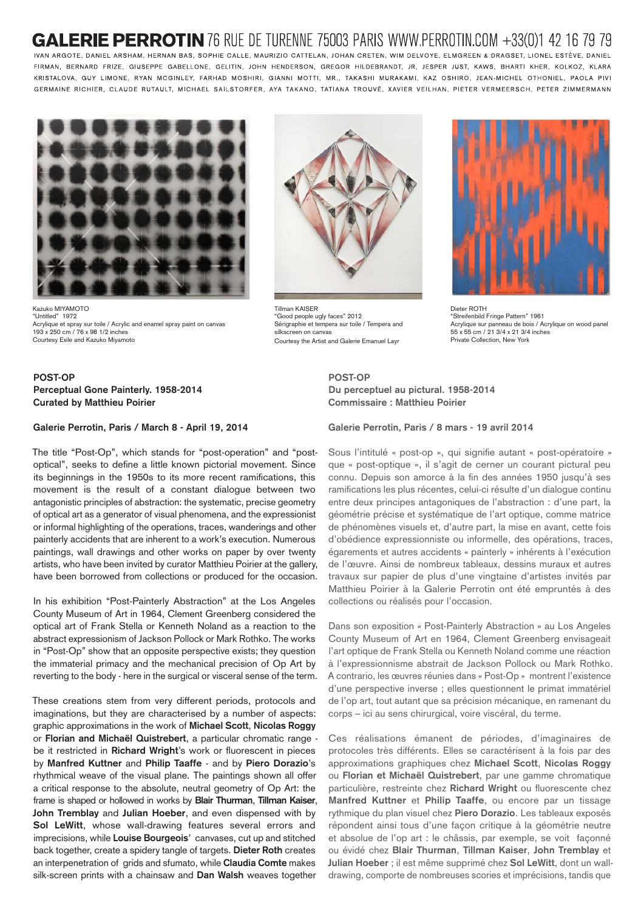## **LERIE PERROTIN** 76 RUE DE TURENNE 75003 PARIS WWW.PERROTIN.COM +33(0)1 42 16 79 79

IVAN ARGOTE, DANIEL ARSHAM, HERNAN BAS, SOPHIE CALLE, MAURIZIO CATTELAN, JOHAN CRETEN, WIM DELVOYE, ELMGREEN & DRAGSET, LIONEL ESTÈVE, DANIEL FIRMAN, BERNARD FRIZE, GIUSEPPE GABELLONE, GELITIN, JOHN HENDERSON, GREGOR HILDEBRANDT, JR, JESPER JUST, KAWS, BHARTI KHER, KOLKOZ, KLARA KRISTALOVA, GUY LIMONE, RYAN MCGINLEY, FARHAD MOSHIRI, GIANNI MOTTI, MR., TAKASHI MURAKAMI, KAZ OSHIRO, JEAN-MICHEL OTHONIEL, PAOLA PIVI GERMAINE RICHIER, CLAUDE RUTAULT, MICHAEL SAILSTORFER, AYA TAKANO, TATIANA TROUVÉ, XAVIER VEILHAN, PIETER VERMEERSCH, PETER ZIMMERMANN



Kazuko MIYAMOTO "Untitled" 1972 Acrylique et spray sur toile / Acrylic and enamel spray paint on canvas 193 x 250 cm / 76 x 98 1/2 inches Courtesy Exile and Kazuko Miyamoto

## **POST-OP Perceptual Gone Painterly. 1958-2014 Curated by Matthieu Poirier**

## **Galerie Perrotin, Paris / March 8 - April 19, 2014**

The title "Post-Op", which stands for "post-operation" and "postoptical", seeks to define a little known pictorial movement. Since its beginnings in the 1950s to its more recent ramifications, this movement is the result of a constant dialogue between two antagonistic principles of abstraction: the systematic, precise geometry of optical art as a generator of visual phenomena, and the expressionist or informal highlighting of the operations, traces, wanderings and other painterly accidents that are inherent to a work's execution. Numerous paintings, wall drawings and other works on paper by over twenty artists, who have been invited by curator Matthieu Poirier at the gallery, have been borrowed from collections or produced for the occasion.

In his exhibition "Post-Painterly Abstraction" at the Los Angeles County Museum of Art in 1964, Clement Greenberg considered the optical art of Frank Stella or Kenneth Noland as a reaction to the abstract expressionism of Jackson Pollock or Mark Rothko. The works in "Post-Op" show that an opposite perspective exists; they question the immaterial primacy and the mechanical precision of Op Art by reverting to the body - here in the surgical or visceral sense of the term.

These creations stem from very different periods, protocols and imaginations, but they are characterised by a number of aspects: graphic approximations in the work of **Michael Scott**, **Nicolas Roggy** or **Florian and Michaël Quistrebert**, a particular chromatic range be it restricted in **Richard Wright**'s work or fluorescent in pieces by **Manfred Kuttner** and **Philip Taaffe** - and by **Piero Dorazio**'s rhythmical weave of the visual plane. The paintings shown all offer a critical response to the absolute, neutral geometry of Op Art: the frame is shaped or hollowed in works by **Blair Thurman**, **Tillman Kaiser**, **John Tremblay** and **Julian Hoeber**, and even dispensed with by **Sol LeWitt**, whose wall-drawing features several errors and imprecisions, while **Louise Bourgeois**' canvases, cut up and stitched back together, create a spidery tangle of targets. **Dieter Roth** creates an interpenetration of grids and sfumato, while **Claudia Comte** makes silk-screen prints with a chainsaw and **Dan Walsh** weaves together



Tillman KAISER "Good people ugly faces" 2012 Sérigraphie et tempera sur toile / Tempera and silkscreen on canvas Courtesy the Artist and Galerie Emanuel Layr



Dieter ROTH "Streifenbild Fringe Pattern" 1961 Acrylique sur panneau de bois / Acrylique on wood panel 55 x 55 cm / 21 3/4 x 21 3/4 inches Private Collection, New York

**POST-OP Du perceptuel au pictural. 1958-2014 Commissaire : Matthieu Poirier**

**Galerie Perrotin, Paris / 8 mars - 19 avril 2014** 

Sous l'intitulé « post-op », qui signifie autant « post-opératoire » que « post-optique », il s'agit de cerner un courant pictural peu connu. Depuis son amorce à la fin des années 1950 jusqu'à ses ramifications les plus récentes, celui-ci résulte d'un dialogue continu entre deux principes antagoniques de l'abstraction : d'une part, la géométrie précise et systématique de l'art optique, comme matrice de phénomènes visuels et, d'autre part, la mise en avant, cette fois d'obédience expressionniste ou informelle, des opérations, traces, égarements et autres accidents « painterly » inhérents à l'exécution de l'œuvre. Ainsi de nombreux tableaux, dessins muraux et autres travaux sur papier de plus d'une vingtaine d'artistes invités par Matthieu Poirier à la Galerie Perrotin ont été empruntés à des collections ou réalisés pour l'occasion.

Dans son exposition « Post-Painterly Abstraction » au Los Angeles County Museum of Art en 1964, Clement Greenberg envisageait l'art optique de Frank Stella ou Kenneth Noland comme une réaction à l'expressionnisme abstrait de Jackson Pollock ou Mark Rothko. A contrario, les œuvres réunies dans « Post-Op » montrent l'existence d'une perspective inverse ; elles questionnent le primat immatériel de l'op art, tout autant que sa précision mécanique, en ramenant du corps – ici au sens chirurgical, voire viscéral, du terme.

Ces réalisations émanent de périodes, d'imaginaires de protocoles très différents. Elles se caractérisent à la fois par des approximations graphiques chez **Michael Scott**, **Nicolas Roggy** ou **Florian et Michaël Quistrebert**, par une gamme chromatique particulière, restreinte chez **Richard Wright** ou fluorescente chez **Manfred Kuttner** et **Philip Taaffe**, ou encore par un tissage rythmique du plan visuel chez **Piero Dorazio**. Les tableaux exposés répondent ainsi tous d'une façon critique à la géométrie neutre et absolue de l'op art : le châssis, par exemple, se voit façonné ou évidé chez **Blair Thurman**, **Tillman Kaiser**, **John Tremblay** et **Julian Hoeber** ; il est même supprimé chez **Sol LeWitt**, dont un walldrawing, comporte de nombreuses scories et imprécisions, tandis que